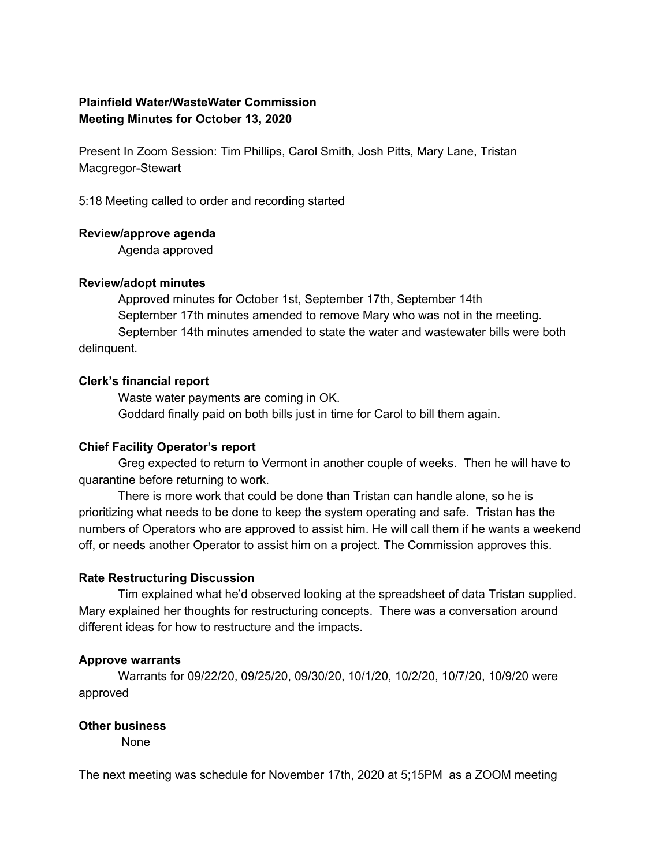# **Plainfield Water/WasteWater Commission Meeting Minutes for October 13, 2020**

Present In Zoom Session: Tim Phillips, Carol Smith, Josh Pitts, Mary Lane, Tristan Macgregor-Stewart

5:18 Meeting called to order and recording started

### **Review/approve agenda**

Agenda approved

### **Review/adopt minutes**

Approved minutes for October 1st, September 17th, September 14th September 17th minutes amended to remove Mary who was not in the meeting. September 14th minutes amended to state the water and wastewater bills were both delinquent.

### **Clerk's financial report**

Waste water payments are coming in OK. Goddard finally paid on both bills just in time for Carol to bill them again.

## **Chief Facility Operator's report**

Greg expected to return to Vermont in another couple of weeks. Then he will have to quarantine before returning to work.

There is more work that could be done than Tristan can handle alone, so he is prioritizing what needs to be done to keep the system operating and safe. Tristan has the numbers of Operators who are approved to assist him. He will call them if he wants a weekend off, or needs another Operator to assist him on a project. The Commission approves this.

## **Rate Restructuring Discussion**

Tim explained what he'd observed looking at the spreadsheet of data Tristan supplied. Mary explained her thoughts for restructuring concepts. There was a conversation around different ideas for how to restructure and the impacts.

## **Approve warrants**

Warrants for 09/22/20, 09/25/20, 09/30/20, 10/1/20, 10/2/20, 10/7/20, 10/9/20 were approved

#### **Other business**

None

The next meeting was schedule for November 17th, 2020 at 5;15PM as a ZOOM meeting